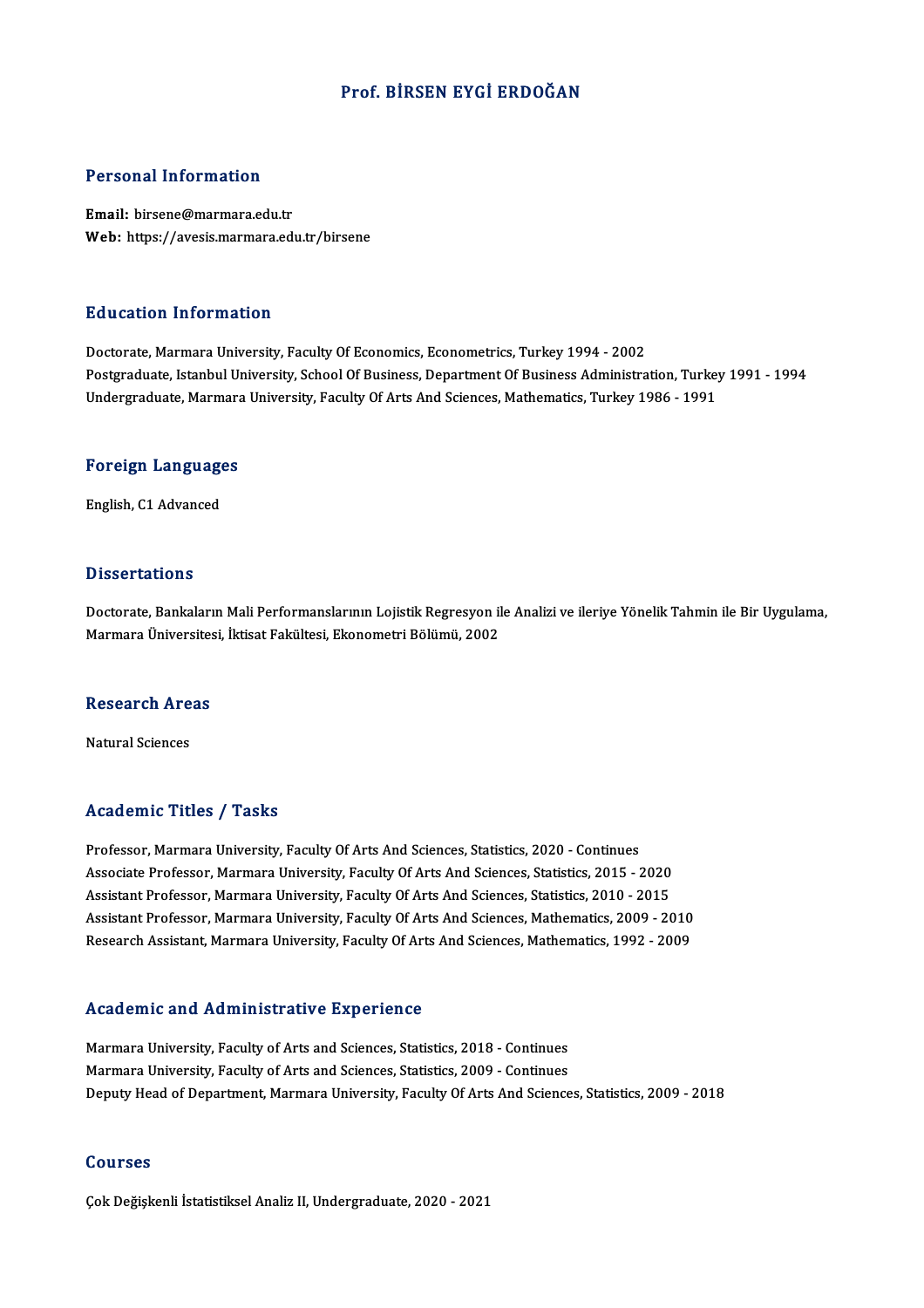### Prof. BİRSEN EYGİ ERDOĞAN

#### Personal Information

Email: birsene@marmara.edu.tr Web: https://avesis.marmara.edu.tr/birsene

#### Education Information

Doctorate,MarmaraUniversity,FacultyOfEconomics,Econometrics,Turkey1994 -2002 Postgraduate, Istanbul University, School Of Business, Department Of Business Administration, Turkey 1991 - 1994 Undergraduate, Marmara University, Faculty Of Arts And Sciences, Mathematics, Turkey 1986 - 1991

# <sub>ondergraduate, marmara</sub><br>Foreign Languages <mark>Foreign Languag</mark>e<br>English, C1 Advanced

English, C1 Advanced<br>Dissertations

Doctorate, Bankaların Mali Performanslarının Lojistik Regresyon ile Analizi ve ileriye Yönelik Tahmin ile Bir Uygulama, Marmara Üniversitesi, İktisat Fakültesi, Ekonometri Bölümü, 2002

# marmara oniversites<br>Research Areas <mark>Research Are</mark><br>Natural Sciences

# Natural Sciences<br>Academic Titles / Tasks

Professor, Marmara University, Faculty Of Arts And Sciences, Statistics, 2020 - Continues Associate Article / Additionality<br>Professor, Marmara University, Faculty Of Arts And Sciences, Statistics, 2020 - Continues<br>Associate Professor, Marmara University, Faculty Of Arts And Sciences, Statistics, 2015 - 2020<br>Ass Professor, Marmara University, Faculty Of Arts And Sciences, Statistics, 2020 - Continues<br>Associate Professor, Marmara University, Faculty Of Arts And Sciences, Statistics, 2015 - 2020<br>Assistant Professor, Marmara Universi Associate Professor, Marmara University, Faculty Of Arts And Sciences, Statistics, 2015 - 2020<br>Assistant Professor, Marmara University, Faculty Of Arts And Sciences, Statistics, 2010 - 2015<br>Assistant Professor, Marmara Uni Assistant Professor, Marmara University, Faculty Of Arts And Sciences, Statistics, 2010 - 2015<br>Assistant Professor, Marmara University, Faculty Of Arts And Sciences, Mathematics, 2009 - 2010<br>Research Assistant, Marmara Uni Research Assistant, Marmara University, Faculty Of Arts And Sciences, Mathematics, 1992 - 2009<br>Academic and Administrative Experience

Marmara University, Faculty of Arts and Sciences, Statistics, 2018 - Continues Marmara University, Faculty of Arts and Sciences, Statistics, 2009 - Continues Deputy Head of Department, Marmara University, Faculty Of Arts And Sciences, Statistics, 2009 - 2018

#### Courses

Çok Değişkenli İstatistiksel Analiz II, Undergraduate, 2020 - 2021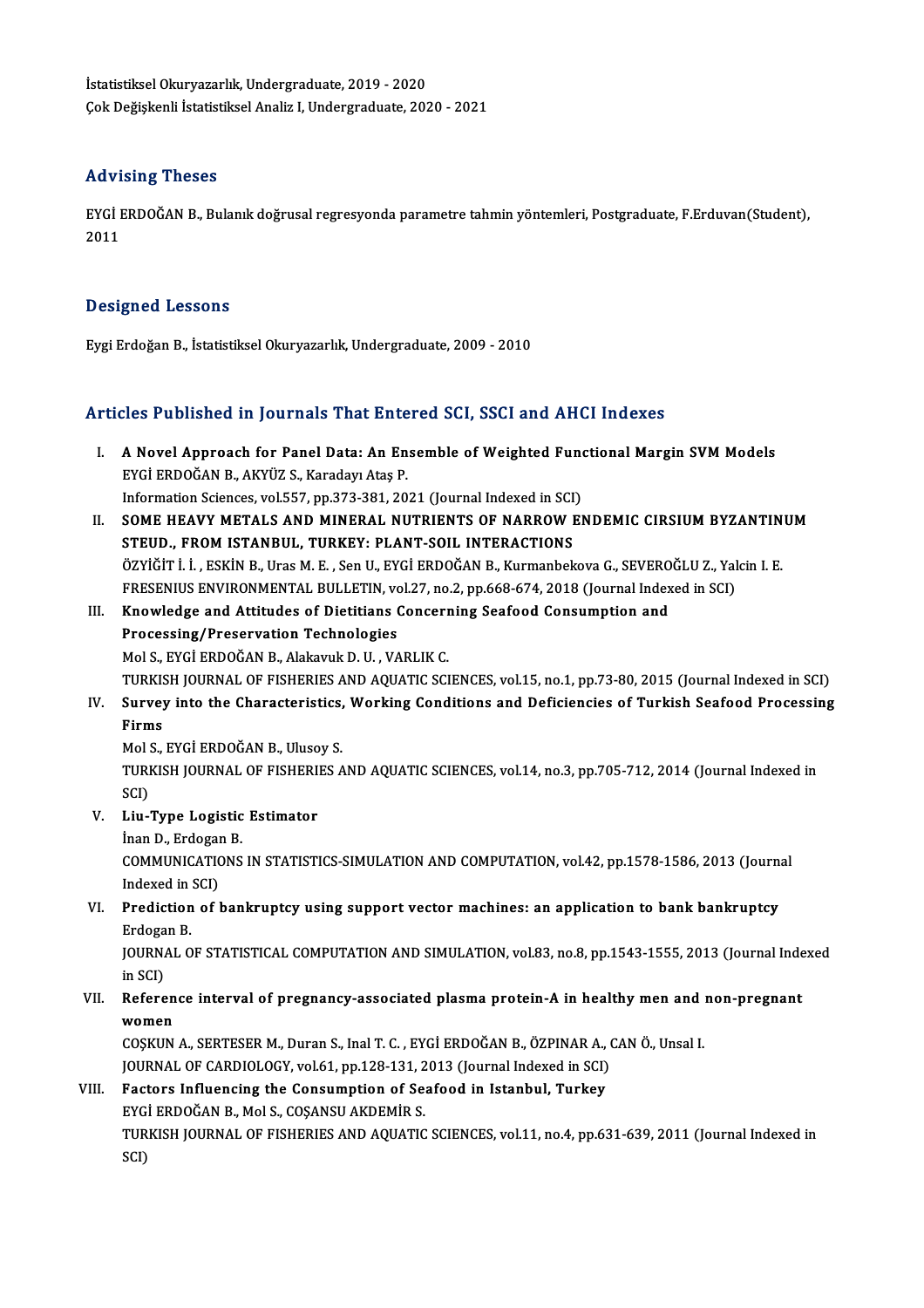İstatistiksel Okuryazarlık, Undergraduate, 2019 - 2020 ÇokDeğişkenli İstatistikselAnaliz I,Undergraduate,2020 -2021

### Advising Theses

**Advising Theses**<br>EYGİ ERDOĞAN B., Bulanık doğrusal regresyonda parametre tahmin yöntemleri, Postgraduate, F.Erduvan(Student),<br>2011 ---<br>EYGİ I<br>2011

# Designed Lessons

EygiErdoğanB., İstatistikselOkuryazarlık,Undergraduate,2009 -2010

### Articles Published in Journals That Entered SCI, SSCI and AHCI Indexes

- rticles Published in Journals That Entered SCI, SSCI and AHCI Indexes<br>I. A Novel Approach for Panel Data: An Ensemble of Weighted Functional Margin SVM Models<br>EVCLEPDOČAN B. AKVÜZ S. Karaday Atas B EXEC 1 denonca in journale 1 nac 2 necessarily<br>A Novel Approach for Panel Data: An En<br>EYGİ ERDOĞAN B., AKYÜZ S., Karadayı Ataş P. A Novel Approach for Panel Data: An Ensemble of Weighted Funce<br>St Ciences, Vol.557, pp.373-381, 2021 (Journal Indexed in SCI)<br>SOME HEAVY METALS AND MINERAL NUTPLENTS OF NARROW FI EYGİ ERDOĞAN B., AKYÜZ S., Karadayı Ataş P.<br>Information Sciences, vol.557, pp.373-381, 2021 (Journal Indexed in SCI)<br>II. SOME HEAVY METALS AND MINERAL NUTRIENTS OF NARROW ENDEMIC CIRSIUM BYZANTINUM<br>STEUD, EROM ISTANDUL, TU
- Information Sciences, vol.557, pp.373-381, 2021 (Journal Indexed in SCI)<br>SOME HEAVY METALS AND MINERAL NUTRIENTS OF NARROW E<br>STEUD., FROM ISTANBUL, TURKEY: PLANT-SOIL INTERACTIONS SOME HEAVY METALS AND MINERAL NUTRIENTS OF NARROW ENDEMIC CIRSIUM BYZANTIN<br>STEUD., FROM ISTANBUL, TURKEY: PLANT-SOIL INTERACTIONS<br>ÖZYİĞİT İ. İ., ESKİN B., Uras M. E. , Sen U., EYGİ ERDOĞAN B., Kurmanbekova G., SEVEROĞLU Z. ÖZYİĞİT İ. İ. , ESKİN B., Uras M. E. , Sen U., EYGİ ERDOĞAN B., Kurmanbekova G., SEVEROĞLU Z., Yalcin I. E. ÖZYİĞİT İ. İ. , ESKİN B., Uras M. E. , Sen U., EYGİ ERDOĞAN B., Kurmanbekova G., SEVERO<br>FRESENIUS ENVIRONMENTAL BULLETIN, vol.27, no.2, pp.668-674, 2018 (Journal Index<br>III. Knowledge and Attitudes of Dietitians Concerning

## FRESENIUS ENVIRONMENTAL BULLETIN, vo<br>Knowledge and Attitudes of Dietitians (<br>Processing/Preservation Technologies<br>Mel S. EVCİ EPDOČAN P. Alakayık D. U. VA Knowledge and Attitudes of Dietitians Concerning Seafood Consumption and<br>Processing/Preservation Technologies<br>Mol S., EYGİ ERDOĞAN B., Alakavuk D. U. , VARLIK C. Processing/Preservation Technologies<br>Mol S., EYGİ ERDOĞAN B., Alakavuk D. U. , VARLIK C.<br>TURKISH JOURNAL OF FISHERIES AND AQUATIC SCIENCES, vol.15, no.1, pp.73-80, 2015 (Journal Indexed in SCI)<br>Survey into the Characterist

### Mol S., EYGİ ERDOĞAN B., Alakavuk D. U. , VARLIK C.<br>TURKISH JOURNAL OF FISHERIES AND AQUATIC SCIENCES, vol.15, no.1, pp.73-80, 2015 (Journal Indexed in SCI)<br>IV. Survey into the Characteristics, Working Conditions and D TURKIS<br><mark>Survey</mark><br>Firms IV. Survey into the Characteristics, Working Conditions and Deficiencies of Turkish Seafood Processing<br>Firms<br>Mol S., EYGİ ERDOĞAN B., Ulusoy S.

Firms<br>Mol S., EYGİ ERDOĞAN B., Ulusoy S.<br>TURKISH JOURNAL OF FISHERIES AND AQUATIC SCIENCES, vol.14, no.3, pp.705-712, 2014 (Journal Indexed in<br>SCD Mol :<br>TURI<br>SCI)<br>Lin :

- V. Liu-Type Logistic Estimator
- İnanD.,ErdoganB. Liu-Type Logistic Estimator<br>İnan D., Erdogan B.<br>COMMUNICATIONS IN STATISTICS-SIMULATION AND COMPUTATION, vol.42, pp.1578-1586, 2013 (Journal<br>Indexed in SCD. inan D., Erdogar<br>COMMUNICATIC<br>Indexed in SCI)<br>Prodiction of l COMMUNICATIONS IN STATISTICS-SIMULATION AND COMPUTATION, vol.42, pp.1578-1586, 2013 (Journal<br>Indexed in SCI)<br>VI. Prediction of bankruptcy using support vector machines: an application to bank bankruptcy<br>Frequency

# Indexed in<br>Prediction<br>Erdogan B.<br>JOUPNAL O Prediction of bankruptcy using support vector machines: an application to bank bankruptcy<br>Erdogan B.<br>JOURNAL OF STATISTICAL COMPUTATION AND SIMULATION, vol.83, no.8, pp.1543-1555, 2013 (Journal Indexed<br>in SCD

Erdogan B.<br>JOURNAL OF STATISTICAL COMPUTATION AND SIMULATION, vol.83, no.8, pp.1543-1555, 2013 (Journal Indexed<br>in SCI) JOURNAL OF STATISTICAL COMPUTATION AND SIMULATION, vol.83, no.8, pp.1543-1555, 2013 (Journal Inde<br>in SCI)<br>VII. Reference interval of pregnancy-associated plasma protein-A in healthy men and non-pregnant<br>women

# in SCI)<br>Referen<br>women<br>COSVIIN Reference interval of pregnancy-associated plasma protein-A in healthy men and :<br>women<br>COŞKUN A., SERTESER M., Duran S., Inal T. C. , EYGİ ERDOĞAN B., ÖZPINAR A., CAN Ö., Unsal I.<br>JOUPMAL OE CAPDIOLOCY vel 61-nn 128-121-20

women<br>COŞKUN A., SERTESER M., Duran S., Inal T. C. , EYGİ ERDOĞAN B., ÖZPINAR A., (<br>JOURNAL OF CARDIOLOGY, vol.61, pp.128-131, 2013 (Journal Indexed in SCI)<br>Festars Influensing the Consumption of Seefeed in Istanbul Turkey

### COSKUN A., SERTESER M., Duran S., Inal T. C., EYGİ ERDOĞAN B., ÖZPINAR A.,<br>JOURNAL OF CARDIOLOGY, vol.61, pp.128-131, 2013 (Journal Indexed in SCI)<br>VIII. Factors Influencing the Consumption of Seafood in Istanbul, Turkey<br>E JOURNAL OF CARDIOLOGY, vol.61, pp.128-131, 2013 (Journal Indexed in SCI)<br>VIII. Factors Influencing the Consumption of Seafood in Istanbul, Turkey EYGİ ERDOĞAN B., Mol S., COŞANSU AKDEMİR S.

TURKISH JOURNAL OF FISHERIES AND AQUATIC SCIENCES, vol.11, no.4, pp.631-639, 2011 (Journal Indexed in SCI)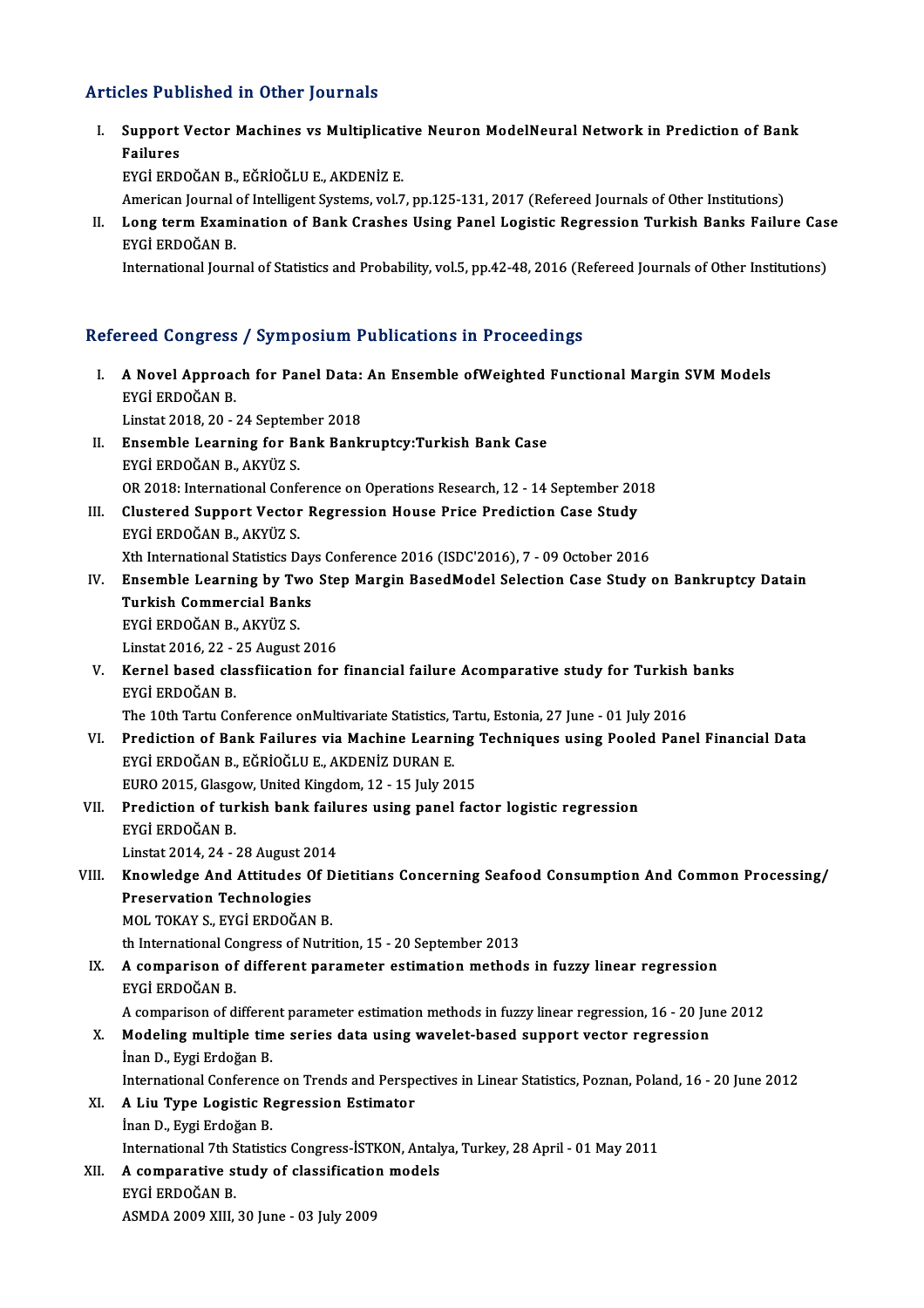### Articles Published in Other Journals

rticles Published in Other Journals<br>I. Support Vector Machines vs Multiplicative Neuron ModelNeural Network in Prediction of Bank<br>Railuses stes 1 de<br>Support<br>Failures<br>Evci EPD Failures<br>EYGİ ERDOĞAN B., EĞRİOĞLU E., AKDENİZ E.

American Journal of Intelligent Systems, vol.7, pp.125-131, 2017 (Refereed Journals of Other Institutions)

EYGİ ERDOĞAN B., EĞRİOĞLU E., AKDENİZ E.<br>American Journal of Intelligent Systems, vol.7, pp.125-131, 2017 (Refereed Journals of Other Institutions)<br>II. Long term Examination of Bank Crashes Using Panel Logistic Regress American Journal<br>Long term Exam<br>EYGİ ERDOĞAN B.<br>International Journ EYGİ ERDOĞAN B.<br>International Journal of Statistics and Probability, vol.5, pp.42-48, 2016 (Refereed Journals of Other Institutions)

### Refereed Congress / Symposium Publications in Proceedings

- efereed Congress / Symposium Publications in Proceedings<br>I. A Novel Approach for Panel Data: An Ensemble ofWeighted Functional Margin SVM Models<br>EVCLEPDOČAN P A Novel Approach<br>EYGİ ERDOĞAN B.<br>Linstat 2019-20 A Novel Approach for Panel Data:<br>EYGİ ERDOĞAN B.<br>Linstat 2018, 20 - 24 September 2018<br>Encemble Learning for Bank Bank EYGİ ERDOĞAN B.<br>Linstat 2018, 20 - 24 September 2018<br>II. Ensemble Learning for Bank Bankruptcy:Turkish Bank Case<br>EYGİ ERDOĞAN B., AKYÜZ S.
- Linstat 2018, 20 24 Septem<br>Ensemble Learning for B.<br>EYGİ ERDOĞAN B., AKYÜZ S.<br>OP 2019. International Conf OR 2018: International Conference on Operations Research, 12 - 14 September 2018
- III. Clustered Support Vector Regression House Price Prediction Case Study EYGİERDOĞANB.,AKYÜZ S. Xth International Statistics Days Conference 2016 (ISDC'2016), 7 - 09 October 2016
- IV. Ensemble Learning by Two Step Margin BasedModel Selection Case Study on Bankruptcy Datain Xth International Statistics Day<br>Ensemble Learning by Two<br>Turkish Commercial Banks<br>EVCLEPDOČAN P. A*VV*ÜZ S Ensemble Learning by Tw<br>Turkish Commercial Bank<br>EYGİ ERDOĞAN B., AKYÜZ S.<br>Lingtet 2016-22 - 25 August EYGİ ERDOĞAN B., AKYÜZ S.<br>Linstat 2016, 22 - 25 August 2016 EYGİ ERDOĞAN B., AKYÜZ S.<br>Linstat 2016, 22 - 25 August 2016<br>V. Kernel based classfiication for financial failure Acomparative study for Turkish banks<br>EVCİ ERDOĞAN R
- Linstat 2016, 22 :<br>Kernel based cla<br>EYGİ ERDOĞAN B.<br>The 10th Tertu Co Kernel based classfiication for financial failure Acomparative study for Turkish<br>EYGİ ERDOĞAN B.<br>The 10th Tartu Conference onMultivariate Statistics, Tartu, Estonia, 27 June - 01 July 2016<br>Prodistion of Bank Failures via M

- EYGİ ERDOĞAN B.<br>The 10th Tartu Conference onMultivariate Statistics, Tartu, Estonia, 27 June 01 July 2016<br>VI. Prediction of Bank Failures via Machine Learning Techniques using Pooled Panel Financial Data<br>EVCİ ERDOĞAN The 10th Tartu Conference onMultivariate Statistics, 7<br>Prediction of Bank Failures via Machine Learni<br>EYGİ ERDOĞAN B., EĞRİOĞLU E., AKDENİZ DURAN E.<br>EURO 2015, Classeur United Kinsdam 12, 15 July 20 Prediction of Bank Failures via Machine Learning<br>EYGİ ERDOĞAN B., EĞRİOĞLU E., AKDENİZ DURAN E.<br>EURO 2015, Glasgow, United Kingdom, 12 - 15 July 2015<br>Prediction of turkish bank failures using nanal fas EYGİ ERDOĞAN B., EĞRİOĞLU E., AKDENİZ DURAN E.<br>EURO 2015, Glasgow, United Kingdom, 12 - 15 July 2015<br>VII. Prediction of turkish bank failures using panel factor logistic regression<br>EVCİ ERDOĞAN B
- EURO 2015, Glasgo<br>Prediction of turk<br>EYGİ ERDOĞAN B.<br>Linstat 2014, 24 Prediction of turkish bank fail<mark>t</mark><br>EYGİ ERDOĞAN B.<br>Linstat 2014, 24 - 28 August 2014<br>Knowledge And Attitudes Of Di

### EYGİ ERDOĞAN B.<br>Linstat 2014, 24 - 28 August 2014<br>VIII. Knowledge And Attitudes Of Dietitians Concerning Seafood Consumption And Common Processing/<br>Procenuation Technologies Linstat 2014, 24 - 28 August 20<br><mark>Knowledge And Attitudes 0</mark><br>Preservation Technologies<br>MOL TOKAY S. EVCLEPDOČAN Knowledge And Attitudes Of D<br>Preservation Technologies<br>MOL TOKAY S., EYGİ ERDOĞAN B.<br>th International Congress of Nutri Preservation Technologies<br>MOL TOKAY S., EYGİ ERDOĞAN B.<br>th International Congress of Nutrition, 15 - 20 September 2013<br>A semnarisan of different persmater estimation method

### MOL TOKAY S., EYGİ ERDOĞAN B.<br>
th International Congress of Nutrition, 15 - 20 September 2013<br>
IX. A comparison of different parameter estimation methods in fuzzy linear regression<br>
EYGİ ERDOĞAN B. th International Co<br>A comparison of<br>EYGİ ERDOĞAN B.<br>A comparison of d A comparison of different parameter estimation methods in fuzzy linear regression<br>EYGİ ERDOĞAN B.<br>A comparison of different parameter estimation methods in fuzzy linear regression, 16 - 20 June 2012<br>Modeling multiple time

### X. Modeling multiple time series data using wavelet-based support vector regression inan D., Eygi Erdoğan B. A comparison of differer<br>Modeling multiple tim<br>İnan D., Eygi Erdoğan B.<br>International Conference Modeling multiple time series data using wavelet-based support vector regression<br>Inan D., Eygi Erdoğan B.<br>International Conference on Trends and Perspectives in Linear Statistics, Poznan, Poland, 16 - 20 June 2012<br>A Liu Tu

### XI. A Liu Type Logistic Regression Estimator International Conference<br>**A Liu Type Logistic Re**<br>İnan D., Eygi Erdoğan B.<br>International 7th Statisti

A Liu Type Logistic Regression Estimator<br>İnan D., Eygi Erdoğan B.<br>International 7th Statistics Congress-İSTKON, Antalya, Turkey, 28 April - 01 May 2011<br>A comporative study of slossifisation models

Inan D., Eygi Erdoğan B.<br>International 7th Statistics Congress-ISTKON, Antaly<br>XII. A comparative study of classification models<br>EVCI EPDOČAN B

# International 7th S<br>A comparative s<br>EYGİ ERDOĞAN B.<br>ASMDA 2000 YUL A co<mark>mparative study of classificatio</mark><br>EYGİ ERDOĞAN B.<br>ASMDA 2009 XIII, 30 June - 03 July 2009